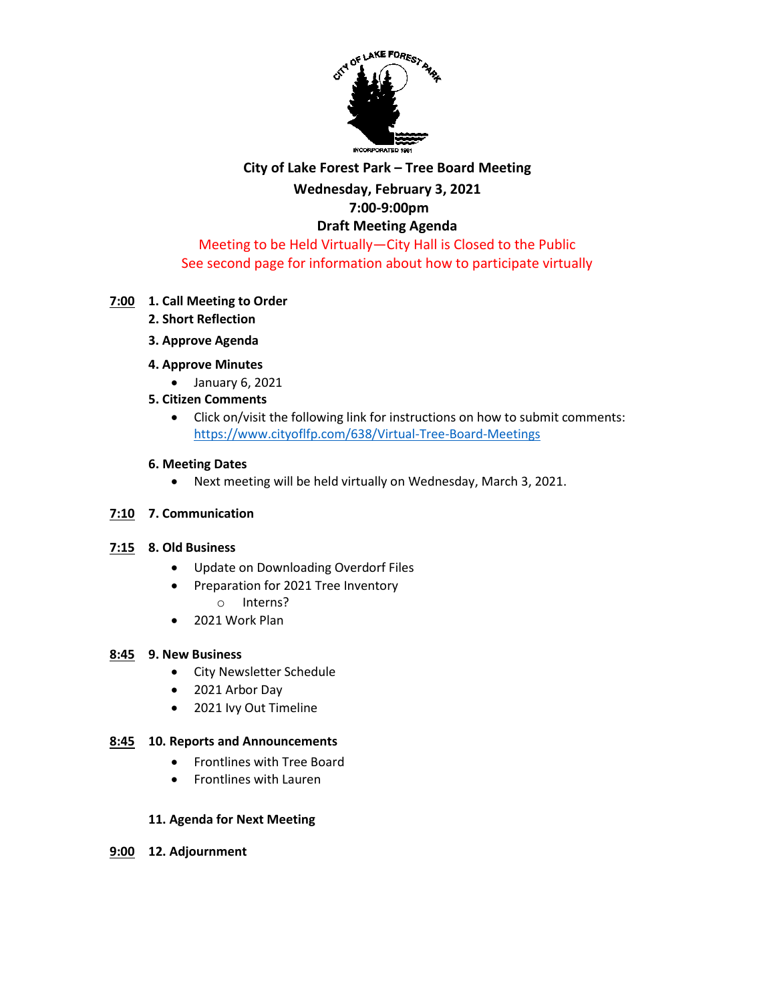

# **City of Lake Forest Park – Tree Board Meeting Wednesday, February 3, 2021 7:00-9:00pm**

### **Draft Meeting Agenda** Meeting to be Held Virtually—City Hall is Closed to the Public See second page for information about how to participate virtually

### **7:00 1. Call Meeting to Order**

- **2. Short Reflection**
- **3. Approve Agenda**
- **4. Approve Minutes** 
	- January 6, 2021
- **5. Citizen Comments**
	- Click on/visit the following link for instructions on how to submit comments: <https://www.cityoflfp.com/638/Virtual-Tree-Board-Meetings>

#### **6. Meeting Dates**

Next meeting will be held virtually on Wednesday, March 3, 2021.

#### **7:10 7. Communication**

#### **7:15 8. Old Business**

- Update on Downloading Overdorf Files
- Preparation for 2021 Tree Inventory o Interns?
- 2021 Work Plan

#### **8:45 9. New Business**

- City Newsletter Schedule
- 2021 Arbor Day
- 2021 Ivy Out Timeline

#### **8:45 10. Reports and Announcements**

- Frontlines with Tree Board
- Frontlines with Lauren

#### **11. Agenda for Next Meeting**

**9:00 12. Adjournment**